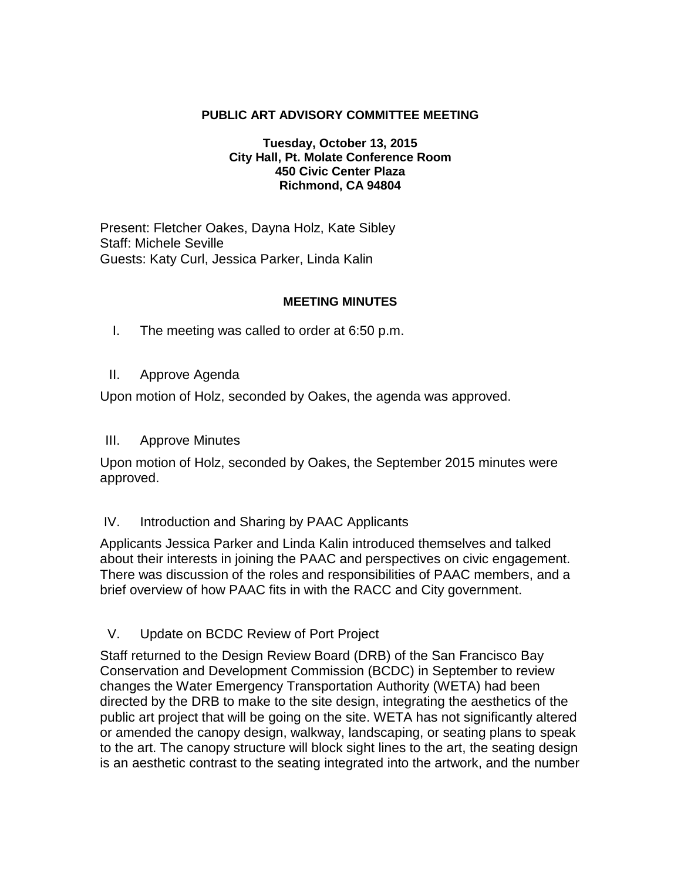### **PUBLIC ART ADVISORY COMMITTEE MEETING**

#### **Tuesday, October 13, 2015 City Hall, Pt. Molate Conference Room 450 Civic Center Plaza Richmond, CA 94804**

Present: Fletcher Oakes, Dayna Holz, Kate Sibley Staff: Michele Seville Guests: Katy Curl, Jessica Parker, Linda Kalin

### **MEETING MINUTES**

- I. The meeting was called to order at 6:50 p.m.
- II. Approve Agenda

Upon motion of Holz, seconded by Oakes, the agenda was approved.

III. Approve Minutes

Upon motion of Holz, seconded by Oakes, the September 2015 minutes were approved.

### IV. Introduction and Sharing by PAAC Applicants

Applicants Jessica Parker and Linda Kalin introduced themselves and talked about their interests in joining the PAAC and perspectives on civic engagement. There was discussion of the roles and responsibilities of PAAC members, and a brief overview of how PAAC fits in with the RACC and City government.

V. Update on BCDC Review of Port Project

Staff returned to the Design Review Board (DRB) of the San Francisco Bay Conservation and Development Commission (BCDC) in September to review changes the Water Emergency Transportation Authority (WETA) had been directed by the DRB to make to the site design, integrating the aesthetics of the public art project that will be going on the site. WETA has not significantly altered or amended the canopy design, walkway, landscaping, or seating plans to speak to the art. The canopy structure will block sight lines to the art, the seating design is an aesthetic contrast to the seating integrated into the artwork, and the number